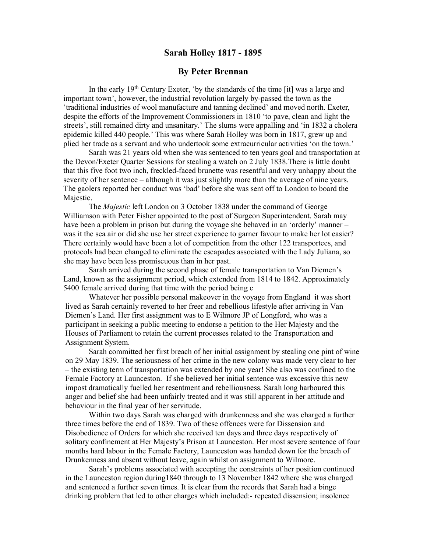## Sarah Holley 1817 - 1895

## By Peter Brennan

In the early  $19<sup>th</sup>$  Century Exeter, 'by the standards of the time [it] was a large and important town', however, the industrial revolution largely by-passed the town as the 'traditional industries of wool manufacture and tanning declined' and moved north. Exeter, despite the efforts of the Improvement Commissioners in 1810 'to pave, clean and light the streets', still remained dirty and unsanitary.' The slums were appalling and 'in 1832 a cholera epidemic killed 440 people.' This was where Sarah Holley was born in 1817, grew up and plied her trade as a servant and who undertook some extracurricular activities 'on the town.'

Sarah was 21 years old when she was sentenced to ten years goal and transportation at the Devon/Exeter Quarter Sessions for stealing a watch on 2 July 1838.There is little doubt that this five foot two inch, freckled-faced brunette was resentful and very unhappy about the severity of her sentence – although it was just slightly more than the average of nine years. The gaolers reported her conduct was 'bad' before she was sent off to London to board the Majestic.

The Majestic left London on 3 October 1838 under the command of George Williamson with Peter Fisher appointed to the post of Surgeon Superintendent. Sarah may have been a problem in prison but during the voyage she behaved in an 'orderly' manner – was it the sea air or did she use her street experience to garner favour to make her lot easier? There certainly would have been a lot of competition from the other 122 transportees, and protocols had been changed to eliminate the escapades associated with the Lady Juliana, so she may have been less promiscuous than in her past.

Sarah arrived during the second phase of female transportation to Van Diemen's Land, known as the assignment period, which extended from 1814 to 1842. Approximately 5400 female arrived during that time with the period being c

 Whatever her possible personal makeover in the voyage from England it was short lived as Sarah certainly reverted to her freer and rebellious lifestyle after arriving in Van Diemen's Land. Her first assignment was to E Wilmore JP of Longford, who was a participant in seeking a public meeting to endorse a petition to the Her Majesty and the Houses of Parliament to retain the current processes related to the Transportation and Assignment System.

 Sarah committed her first breach of her initial assignment by stealing one pint of wine on 29 May 1839. The seriousness of her crime in the new colony was made very clear to her – the existing term of transportation was extended by one year! She also was confined to the Female Factory at Launceston. If she believed her initial sentence was excessive this new impost dramatically fuelled her resentment and rebelliousness. Sarah long harboured this anger and belief she had been unfairly treated and it was still apparent in her attitude and behaviour in the final year of her servitude.

 Within two days Sarah was charged with drunkenness and she was charged a further three times before the end of 1839. Two of these offences were for Dissension and Disobedience of Orders for which she received ten days and three days respectively of solitary confinement at Her Majesty's Prison at Launceston. Her most severe sentence of four months hard labour in the Female Factory, Launceston was handed down for the breach of Drunkenness and absent without leave, again whilst on assignment to Wilmore.

 Sarah's problems associated with accepting the constraints of her position continued in the Launceston region during1840 through to 13 November 1842 where she was charged and sentenced a further seven times. It is clear from the records that Sarah had a binge drinking problem that led to other charges which included:- repeated dissension; insolence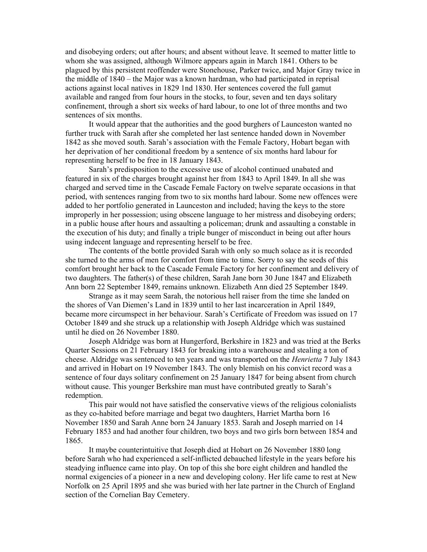and disobeying orders; out after hours; and absent without leave. It seemed to matter little to whom she was assigned, although Wilmore appears again in March 1841. Others to be plagued by this persistent reoffender were Stonehouse, Parker twice, and Major Gray twice in the middle of 1840 – the Major was a known hardman, who had participated in reprisal actions against local natives in 1829 1nd 1830. Her sentences covered the full gamut available and ranged from four hours in the stocks, to four, seven and ten days solitary confinement, through a short six weeks of hard labour, to one lot of three months and two sentences of six months.

 It would appear that the authorities and the good burghers of Launceston wanted no further truck with Sarah after she completed her last sentence handed down in November 1842 as she moved south. Sarah's association with the Female Factory, Hobart began with her deprivation of her conditional freedom by a sentence of six months hard labour for representing herself to be free in 18 January 1843.

 Sarah's predisposition to the excessive use of alcohol continued unabated and featured in six of the charges brought against her from 1843 to April 1849. In all she was charged and served time in the Cascade Female Factory on twelve separate occasions in that period, with sentences ranging from two to six months hard labour. Some new offences were added to her portfolio generated in Launceston and included; having the keys to the store improperly in her possession; using obscene language to her mistress and disobeying orders; in a public house after hours and assaulting a policeman; drunk and assaulting a constable in the execution of his duty; and finally a triple bunger of misconduct in being out after hours using indecent language and representing herself to be free.

 The contents of the bottle provided Sarah with only so much solace as it is recorded she turned to the arms of men for comfort from time to time. Sorry to say the seeds of this comfort brought her back to the Cascade Female Factory for her confinement and delivery of two daughters. The father(s) of these children, Sarah Jane born 30 June 1847 and Elizabeth Ann born 22 September 1849, remains unknown. Elizabeth Ann died 25 September 1849.

 Strange as it may seem Sarah, the notorious hell raiser from the time she landed on the shores of Van Diemen's Land in 1839 until to her last incarceration in April 1849, became more circumspect in her behaviour. Sarah's Certificate of Freedom was issued on 17 October 1849 and she struck up a relationship with Joseph Aldridge which was sustained until he died on 26 November 1880.

 Joseph Aldridge was born at Hungerford, Berkshire in 1823 and was tried at the Berks Quarter Sessions on 21 February 1843 for breaking into a warehouse and stealing a ton of cheese. Aldridge was sentenced to ten years and was transported on the *Henrietta* 7 July 1843 and arrived in Hobart on 19 November 1843. The only blemish on his convict record was a sentence of four days solitary confinement on 25 January 1847 for being absent from church without cause. This younger Berkshire man must have contributed greatly to Sarah's redemption.

 This pair would not have satisfied the conservative views of the religious colonialists as they co-habited before marriage and begat two daughters, Harriet Martha born 16 November 1850 and Sarah Anne born 24 January 1853. Sarah and Joseph married on 14 February 1853 and had another four children, two boys and two girls born between 1854 and 1865.

 It maybe counterintuitive that Joseph died at Hobart on 26 November 1880 long before Sarah who had experienced a self-inflicted debauched lifestyle in the years before his steadying influence came into play. On top of this she bore eight children and handled the normal exigencies of a pioneer in a new and developing colony. Her life came to rest at New Norfolk on 25 April 1895 and she was buried with her late partner in the Church of England section of the Cornelian Bay Cemetery.